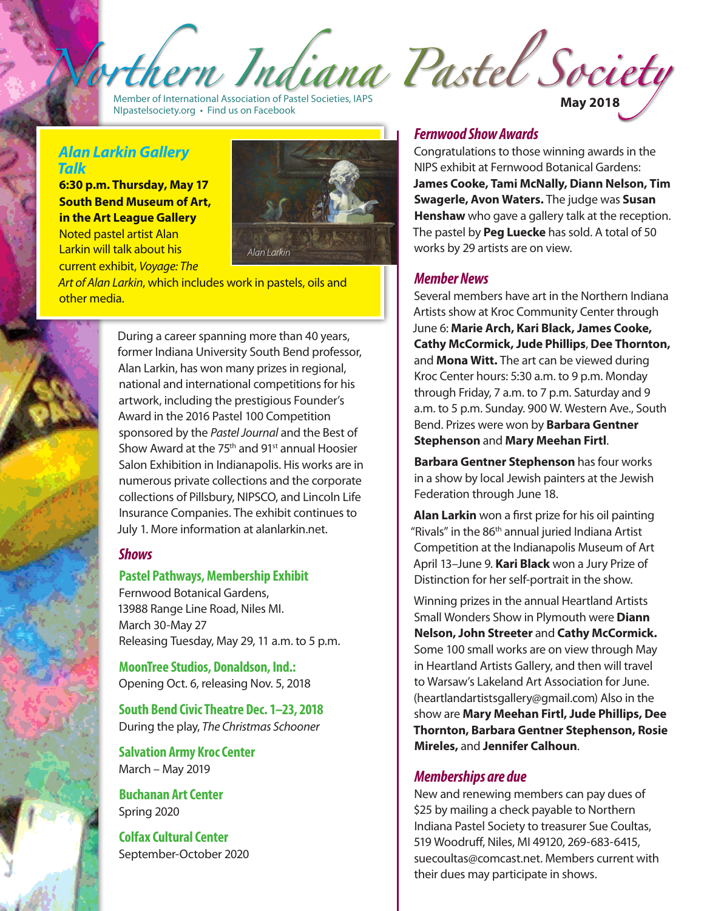Indiana Pastel Society

Member of International Association of Pastel Societies, IAPS Member of International Association of Pastel Societies, IAPS<br>MIpastelsociety.org • Find us on Facebook **May 2018** 

#### *Alan Larkin Gallery Talk*

**6:30 p.m. Thursday, May 17 South Bend Museum of Art, in the Art League Gallery** Noted pastel artist Alan

Larkin will talk about his *Alan Larkin* current exhibit, *Voyage: The*



*Art of Alan Larkin*, which includes work in pastels, oils and other media.



During a career spanning more than 40 years, former Indiana University South Bend professor, Alan Larkin, has won many prizes in regional, national and international competitions for his artwork, including the prestigious Founder's Award in the 2016 Pastel 100 Competition sponsored by the *Pastel Journal* and the Best of Show Award at the 75<sup>th</sup> and 91<sup>st</sup> annual Hoosier Salon Exhibition in Indianapolis. His works are in numerous private collections and the corporate collections of Pillsbury, NIPSCO, and Lincoln Life Insurance Companies. The exhibit continues to July 1. More information at alanlarkin.net.

### *Shows*

#### **Pastel Pathways, Membership Exhibit**

Fernwood Botanical Gardens, 13988 Range Line Road, Niles MI. March 30-May 27 Releasing Tuesday, May 29, 11 a.m. to 5 p.m.

**MoonTree Studios, Donaldson, Ind.:** Opening Oct. 6, releasing Nov. 5, 2018

**South Bend Civic Theatre Dec. 1–23, 2018** During the play, *The Christmas Schooner*

**Salvation Army Kroc Center**  March – May 2019

**Buchanan Art Center**  Spring 2020

**Colfax Cultural Center**  September-October 2020

## *Fernwood Show Awards*

Congratulations to those winning awards in the NIPS exhibit at Fernwood Botanical Gardens: **James Cooke, Tami McNally, Diann Nelson, Tim Swagerle, Avon Waters.** The judge was **Susan Henshaw** who gave a gallery talk at the reception. The pastel by **Peg Luecke** has sold. A total of 50 works by 29 artists are on view.

### *Member News*

Several members have art in the Northern Indiana Artists show at Kroc Community Center through June 6: **Marie Arch, Kari Black, James Cooke, Cathy McCormick, Jude Phillips**, **Dee Thornton,**  and **Mona Witt.** The art can be viewed during Kroc Center hours: 5:30 a.m. to 9 p.m. Monday through Friday, 7 a.m. to 7 p.m. Saturday and 9 a.m. to 5 p.m. Sunday. 900 W. Western Ave., South Bend. Prizes were won by **Barbara Gentner Stephenson** and **Mary Meehan Firtl**.

**Barbara Gentner Stephenson** has four works in a show by local Jewish painters at the Jewish Federation through June 18.

**Alan Larkin** won a first prize for his oil painting "Rivals" in the 86th annual juried Indiana Artist Competition at the Indianapolis Museum of Art April 13–June 9. **Kari Black** won a Jury Prize of Distinction for her self-portrait in the show.

Winning prizes in the annual Heartland Artists Small Wonders Show in Plymouth were **Diann Nelson, John Streeter** and **Cathy McCormick.** Some 100 small works are on view through May in Heartland Artists Gallery, and then will travel to Warsaw's Lakeland Art Association for June. (heartlandartistsgallery@gmail.com) Also in the show are **Mary Meehan Firtl, Jude Phillips, Dee Thornton, Barbara Gentner Stephenson, Rosie Mireles,** and **Jennifer Calhoun**.

## *Memberships are due*

New and renewing members can pay dues of \$25 by mailing a check payable to Northern Indiana Pastel Society to treasurer Sue Coultas, 519 Woodruff, Niles, MI 49120, 269-683-6415, suecoultas@comcast.net. Members current with their dues may participate in shows.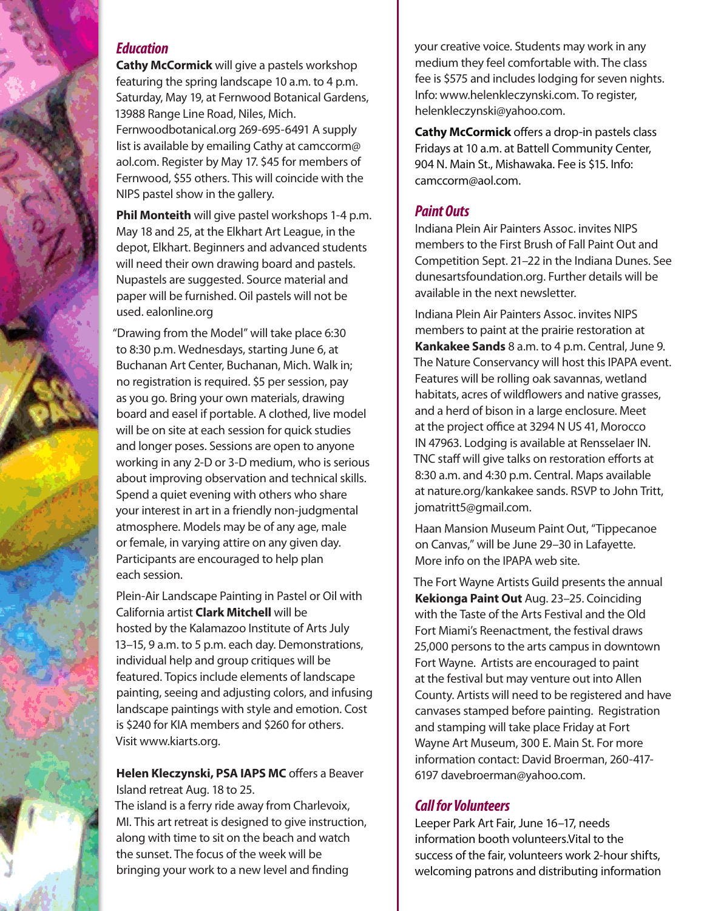## *Education*

**Cathy McCormick** will give a pastels workshop featuring the spring landscape 10 a.m. to 4 p.m. Saturday, May 19, at Fernwood Botanical Gardens, 13988 Range Line Road, Niles, Mich.

Fernwoodbotanical.org 269-695-6491 A supply list is available by emailing Cathy at camccorm@ aol.com. Register by May 17. \$45 for members of Fernwood, \$55 others. This will coincide with the NIPS pastel show in the gallery.

**Phil Monteith** will give pastel workshops 1-4 p.m. May 18 and 25, at the Elkhart Art League, in the depot, Elkhart. Beginners and advanced students will need their own drawing board and pastels. Nupastels are suggested. Source material and paper will be furnished. Oil pastels will not be used. ealonline.org

"Drawing from the Model" will take place 6:30 to 8:30 p.m. Wednesdays, starting June 6, at Buchanan Art Center, Buchanan, Mich. Walk in; no registration is required. \$5 per session, pay as you go. Bring your own materials, drawing board and easel if portable. A clothed, live model will be on site at each session for quick studies and longer poses. Sessions are open to anyone working in any 2-D or 3-D medium, who is serious about improving observation and technical skills. Spend a quiet evening with others who share your interest in art in a friendly non-judgmental atmosphere. Models may be of any age, male or female, in varying attire on any given day. Participants are encouraged to help plan each session.

Plein-Air Landscape Painting in Pastel or Oil with California artist **Clark Mitchell** will be hosted by the Kalamazoo Institute of Arts July 13–15, 9 a.m. to 5 p.m. each day. Demonstrations, individual help and group critiques will be featured. Topics include elements of landscape painting, seeing and adjusting colors, and infusing landscape paintings with style and emotion. Cost is \$240 for KIA members and \$260 for others. Visit www.kiarts.org.

### **Helen Kleczynski, PSA IAPS MC** offers a Beaver Island retreat Aug. 18 to 25.

The island is a ferry ride away from Charlevoix, MI. This art retreat is designed to give instruction, along with time to sit on the beach and watch the sunset. The focus of the week will be bringing your work to a new level and finding

your creative voice. Students may work in any medium they feel comfortable with. The class fee is \$575 and includes lodging for seven nights. Info: www.helenkleczynski.com. To register, helenkleczynski@yahoo.com.

**Cathy McCormick** offers a drop-in pastels class Fridays at 10 a.m. at Battell Community Center, 904 N. Main St., Mishawaka. Fee is \$15. Info: camccorm@aol.com.

## *Paint Outs*

Indiana Plein Air Painters Assoc. invites NIPS members to the First Brush of Fall Paint Out and Competition Sept. 21–22 in the Indiana Dunes. See dunesartsfoundation.org. Further details will be available in the next newsletter.

Indiana Plein Air Painters Assoc. invites NIPS members to paint at the prairie restoration at **Kankakee Sands** 8 a.m. to 4 p.m. Central, June 9. The Nature Conservancy will host this IPAPA event. Features will be rolling oak savannas, wetland habitats, acres of wildflowers and native grasses, and a herd of bison in a large enclosure. Meet at the project office at 3294 N US 41, Morocco IN 47963. Lodging is available at Rensselaer IN. TNC staff will give talks on restoration efforts at 8:30 a.m. and 4:30 p.m. Central. Maps available at nature.org/kankakee sands. RSVP to John Tritt, jomatritt5@gmail.com.

Haan Mansion Museum Paint Out, "Tippecanoe on Canvas," will be June 29–30 in Lafayette. More info on the IPAPA web site.

The Fort Wayne Artists Guild presents the annual **Kekionga Paint Out** Aug. 23–25. Coinciding with the Taste of the Arts Festival and the Old Fort Miami's Reenactment, the festival draws 25,000 persons to the arts campus in downtown Fort Wayne. Artists are encouraged to paint at the festival but may venture out into Allen County. Artists will need to be registered and have canvases stamped before painting. Registration and stamping will take place Friday at Fort Wayne Art Museum, 300 E. Main St. For more information contact: David Broerman, 260-417- 6197 davebroerman@yahoo.com.

# *Call for Volunteers*

Leeper Park Art Fair, June 16–17, needs information booth volunteers.Vital to the success of the fair, volunteers work 2-hour shifts, welcoming patrons and distributing information